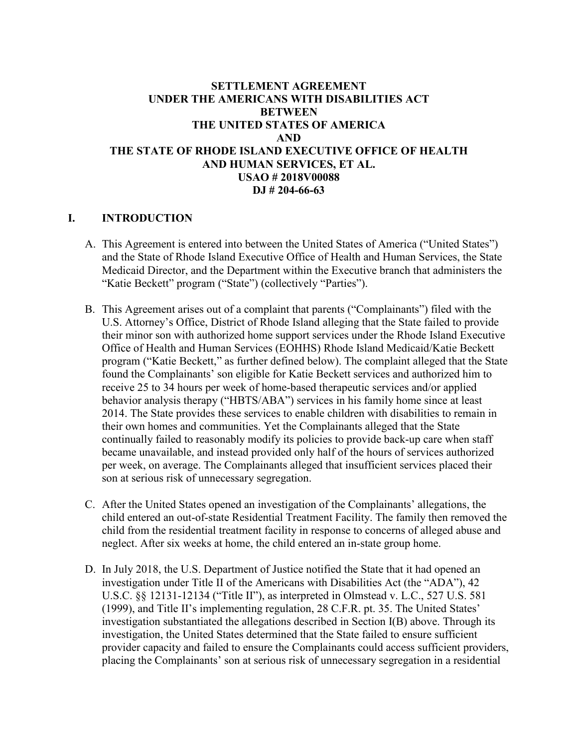## **SETTLEMENT AGREEMENT UNDER THE AMERICANS WITH DISABILITIES ACT BETWEEN THE UNITED STATES OF AMERICA AND THE STATE OF RHODE ISLAND EXECUTIVE OFFICE OF HEALTH AND HUMAN SERVICES, ET AL. USAO # 2018V00088 DJ # 204-66-63**

#### **I. INTRODUCTION**

- A. This Agreement is entered into between the United States of America ("United States") and the State of Rhode Island Executive Office of Health and Human Services, the State Medicaid Director, and the Department within the Executive branch that administers the "Katie Beckett" program ("State") (collectively "Parties").
- B. This Agreement arises out of a complaint that parents ("Complainants") filed with the U.S. Attorney's Office, District of Rhode Island alleging that the State failed to provide their minor son with authorized home support services under the Rhode Island Executive Office of Health and Human Services (EOHHS) Rhode Island Medicaid/Katie Beckett program ("Katie Beckett," as further defined below). The complaint alleged that the State found the Complainants' son eligible for Katie Beckett services and authorized him to receive 25 to 34 hours per week of home-based therapeutic services and/or applied behavior analysis therapy ("HBTS/ABA") services in his family home since at least 2014. The State provides these services to enable children with disabilities to remain in their own homes and communities. Yet the Complainants alleged that the State continually failed to reasonably modify its policies to provide back-up care when staff became unavailable, and instead provided only half of the hours of services authorized per week, on average. The Complainants alleged that insufficient services placed their son at serious risk of unnecessary segregation.
- C. After the United States opened an investigation of the Complainants' allegations, the child entered an out-of-state Residential Treatment Facility. The family then removed the child from the residential treatment facility in response to concerns of alleged abuse and neglect. After six weeks at home, the child entered an in-state group home.
- D. In July 2018, the U.S. Department of Justice notified the State that it had opened an investigation under Title II of the Americans with Disabilities Act (the "ADA"), 42 U.S.C. §§ 12131-12134 ("Title II"), as interpreted in Olmstead v. L.C., 527 U.S. 581 (1999), and Title II's implementing regulation, 28 C.F.R. pt. 35. The United States' investigation substantiated the allegations described in Section I(B) above. Through its investigation, the United States determined that the State failed to ensure sufficient provider capacity and failed to ensure the Complainants could access sufficient providers, placing the Complainants' son at serious risk of unnecessary segregation in a residential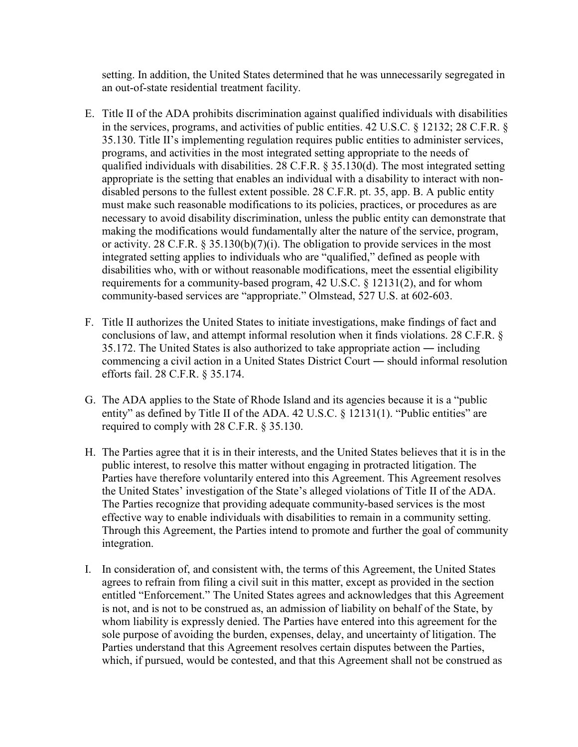setting. In addition, the United States determined that he was unnecessarily segregated in an out-of-state residential treatment facility.

- E. Title II of the ADA prohibits discrimination against qualified individuals with disabilities in the services, programs, and activities of public entities. 42 U.S.C. § 12132; 28 C.F.R. § 35.130. Title II's implementing regulation requires public entities to administer services, programs, and activities in the most integrated setting appropriate to the needs of qualified individuals with disabilities. 28 C.F.R. § 35.130(d). The most integrated setting appropriate is the setting that enables an individual with a disability to interact with nondisabled persons to the fullest extent possible. 28 C.F.R. pt. 35, app. B. A public entity must make such reasonable modifications to its policies, practices, or procedures as are necessary to avoid disability discrimination, unless the public entity can demonstrate that making the modifications would fundamentally alter the nature of the service, program, or activity. 28 C.F.R. § 35.130(b)(7)(i). The obligation to provide services in the most integrated setting applies to individuals who are "qualified," defined as people with disabilities who, with or without reasonable modifications, meet the essential eligibility requirements for a community-based program, 42 U.S.C. § 12131(2), and for whom community-based services are "appropriate." Olmstead, 527 U.S. at 602-603.
- F. Title II authorizes the United States to initiate investigations, make findings of fact and conclusions of law, and attempt informal resolution when it finds violations. 28 C.F.R. § 35.172. The United States is also authorized to take appropriate action ― including commencing a civil action in a United States District Court ― should informal resolution efforts fail. 28 C.F.R. § 35.174.
- G. The ADA applies to the State of Rhode Island and its agencies because it is a "public entity" as defined by Title II of the ADA. 42 U.S.C. § 12131(1). "Public entities" are required to comply with 28 C.F.R. § 35.130.
- H. The Parties agree that it is in their interests, and the United States believes that it is in the public interest, to resolve this matter without engaging in protracted litigation. The Parties have therefore voluntarily entered into this Agreement. This Agreement resolves the United States' investigation of the State's alleged violations of Title II of the ADA. The Parties recognize that providing adequate community-based services is the most effective way to enable individuals with disabilities to remain in a community setting. Through this Agreement, the Parties intend to promote and further the goal of community integration.
- I. In consideration of, and consistent with, the terms of this Agreement, the United States agrees to refrain from filing a civil suit in this matter, except as provided in the section entitled "Enforcement." The United States agrees and acknowledges that this Agreement is not, and is not to be construed as, an admission of liability on behalf of the State, by whom liability is expressly denied. The Parties have entered into this agreement for the sole purpose of avoiding the burden, expenses, delay, and uncertainty of litigation. The Parties understand that this Agreement resolves certain disputes between the Parties, which, if pursued, would be contested, and that this Agreement shall not be construed as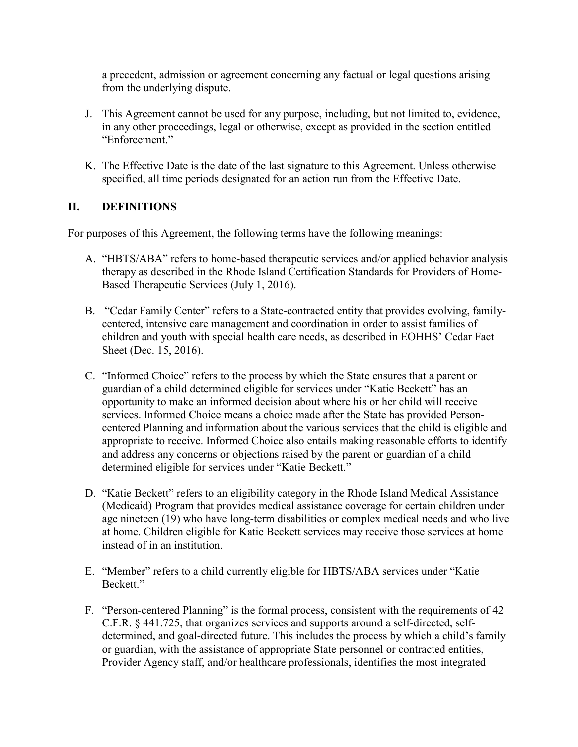a precedent, admission or agreement concerning any factual or legal questions arising from the underlying dispute.

- J. This Agreement cannot be used for any purpose, including, but not limited to, evidence, in any other proceedings, legal or otherwise, except as provided in the section entitled "Enforcement."
- K. The Effective Date is the date of the last signature to this Agreement. Unless otherwise specified, all time periods designated for an action run from the Effective Date.

## **II. DEFINITIONS**

For purposes of this Agreement, the following terms have the following meanings:

- A. "HBTS/ABA" refers to home-based therapeutic services and/or applied behavior analysis therapy as described in the Rhode Island Certification Standards for Providers of Home-Based Therapeutic Services (July 1, 2016).
- B. "Cedar Family Center" refers to a State-contracted entity that provides evolving, familycentered, intensive care management and coordination in order to assist families of children and youth with special health care needs, as described in EOHHS' Cedar Fact Sheet (Dec. 15, 2016).
- C. "Informed Choice" refers to the process by which the State ensures that a parent or guardian of a child determined eligible for services under "Katie Beckett" has an opportunity to make an informed decision about where his or her child will receive services. Informed Choice means a choice made after the State has provided Personcentered Planning and information about the various services that the child is eligible and appropriate to receive. Informed Choice also entails making reasonable efforts to identify and address any concerns or objections raised by the parent or guardian of a child determined eligible for services under "Katie Beckett."
- D. "Katie Beckett" refers to an eligibility category in the Rhode Island Medical Assistance (Medicaid) Program that provides medical assistance coverage for certain children under age nineteen (19) who have long-term disabilities or complex medical needs and who live at home. Children eligible for Katie Beckett services may receive those services at home instead of in an institution.
- E. "Member" refers to a child currently eligible for HBTS/ABA services under "Katie Beckett."
- F. "Person-centered Planning" is the formal process, consistent with the requirements of 42 C.F.R. § 441.725, that organizes services and supports around a self-directed, selfdetermined, and goal-directed future. This includes the process by which a child's family or guardian, with the assistance of appropriate State personnel or contracted entities, Provider Agency staff, and/or healthcare professionals, identifies the most integrated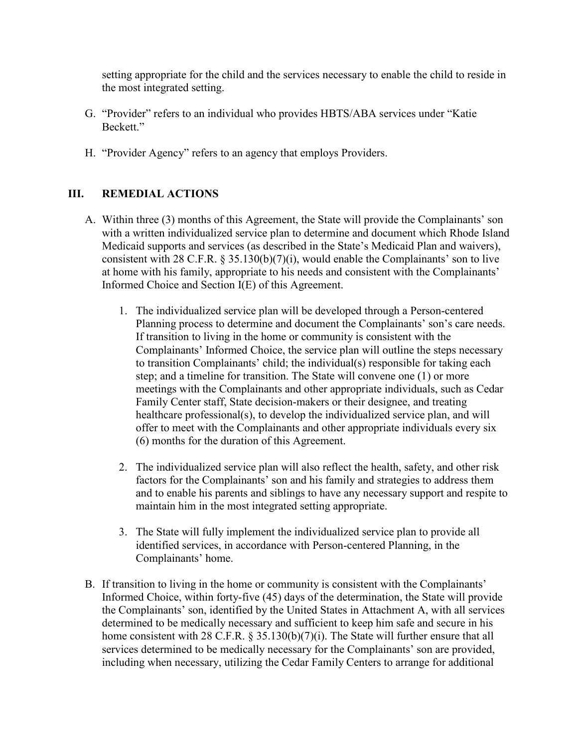setting appropriate for the child and the services necessary to enable the child to reside in the most integrated setting.

- G. "Provider" refers to an individual who provides HBTS/ABA services under "Katie Beckett."
- H. "Provider Agency" refers to an agency that employs Providers.

## **III. REMEDIAL ACTIONS**

- A. Within three (3) months of this Agreement, the State will provide the Complainants' son with a written individualized service plan to determine and document which Rhode Island Medicaid supports and services (as described in the State's Medicaid Plan and waivers), consistent with 28 C.F.R. § 35.130(b)(7)(i), would enable the Complainants' son to live at home with his family, appropriate to his needs and consistent with the Complainants' Informed Choice and Section I(E) of this Agreement.
	- 1. The individualized service plan will be developed through a Person-centered Planning process to determine and document the Complainants' son's care needs. If transition to living in the home or community is consistent with the Complainants' Informed Choice, the service plan will outline the steps necessary to transition Complainants' child; the individual(s) responsible for taking each step; and a timeline for transition. The State will convene one (1) or more meetings with the Complainants and other appropriate individuals, such as Cedar Family Center staff, State decision-makers or their designee, and treating healthcare professional(s), to develop the individualized service plan, and will offer to meet with the Complainants and other appropriate individuals every six (6) months for the duration of this Agreement.
	- 2. The individualized service plan will also reflect the health, safety, and other risk factors for the Complainants' son and his family and strategies to address them and to enable his parents and siblings to have any necessary support and respite to maintain him in the most integrated setting appropriate.
	- 3. The State will fully implement the individualized service plan to provide all identified services, in accordance with Person-centered Planning, in the Complainants' home.
- B. If transition to living in the home or community is consistent with the Complainants' Informed Choice, within forty-five (45) days of the determination, the State will provide the Complainants' son, identified by the United States in Attachment A, with all services determined to be medically necessary and sufficient to keep him safe and secure in his home consistent with 28 C.F.R. § 35.130(b)(7)(i). The State will further ensure that all services determined to be medically necessary for the Complainants' son are provided, including when necessary, utilizing the Cedar Family Centers to arrange for additional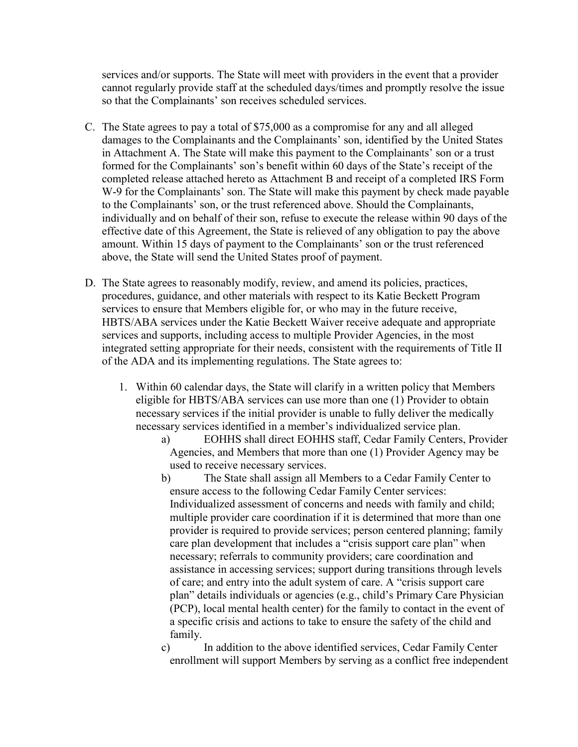services and/or supports. The State will meet with providers in the event that a provider cannot regularly provide staff at the scheduled days/times and promptly resolve the issue so that the Complainants' son receives scheduled services.

- C. The State agrees to pay a total of \$75,000 as a compromise for any and all alleged damages to the Complainants and the Complainants' son, identified by the United States in Attachment A. The State will make this payment to the Complainants' son or a trust formed for the Complainants' son's benefit within 60 days of the State's receipt of the completed release attached hereto as Attachment B and receipt of a completed IRS Form W-9 for the Complainants' son. The State will make this payment by check made payable to the Complainants' son, or the trust referenced above. Should the Complainants, individually and on behalf of their son, refuse to execute the release within 90 days of the effective date of this Agreement, the State is relieved of any obligation to pay the above amount. Within 15 days of payment to the Complainants' son or the trust referenced above, the State will send the United States proof of payment.
- D. The State agrees to reasonably modify, review, and amend its policies, practices, procedures, guidance, and other materials with respect to its Katie Beckett Program services to ensure that Members eligible for, or who may in the future receive, HBTS/ABA services under the Katie Beckett Waiver receive adequate and appropriate services and supports, including access to multiple Provider Agencies, in the most integrated setting appropriate for their needs, consistent with the requirements of Title II of the ADA and its implementing regulations. The State agrees to:
	- 1. Within 60 calendar days, the State will clarify in a written policy that Members eligible for HBTS/ABA services can use more than one (1) Provider to obtain necessary services if the initial provider is unable to fully deliver the medically necessary services identified in a member's individualized service plan.
		- a) EOHHS shall direct EOHHS staff, Cedar Family Centers, Provider Agencies, and Members that more than one (1) Provider Agency may be used to receive necessary services.
		- b) The State shall assign all Members to a Cedar Family Center to ensure access to the following Cedar Family Center services: Individualized assessment of concerns and needs with family and child; multiple provider care coordination if it is determined that more than one provider is required to provide services; person centered planning; family care plan development that includes a "crisis support care plan" when necessary; referrals to community providers; care coordination and assistance in accessing services; support during transitions through levels of care; and entry into the adult system of care. A "crisis support care plan" details individuals or agencies (e.g., child's Primary Care Physician (PCP), local mental health center) for the family to contact in the event of a specific crisis and actions to take to ensure the safety of the child and family.

c) In addition to the above identified services, Cedar Family Center enrollment will support Members by serving as a conflict free independent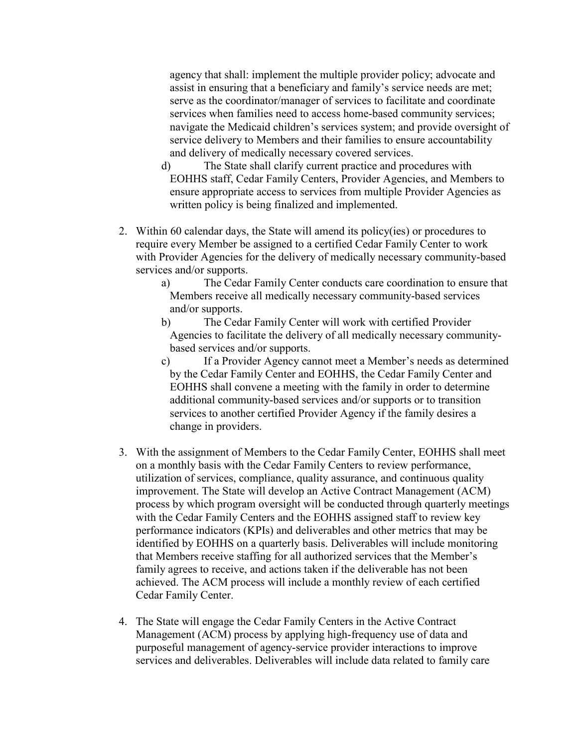agency that shall: implement the multiple provider policy; advocate and assist in ensuring that a beneficiary and family's service needs are met; serve as the coordinator/manager of services to facilitate and coordinate services when families need to access home-based community services; navigate the Medicaid children's services system; and provide oversight of service delivery to Members and their families to ensure accountability and delivery of medically necessary covered services.

- d) The State shall clarify current practice and procedures with EOHHS staff, Cedar Family Centers, Provider Agencies, and Members to ensure appropriate access to services from multiple Provider Agencies as written policy is being finalized and implemented.
- 2. Within 60 calendar days, the State will amend its policy(ies) or procedures to require every Member be assigned to a certified Cedar Family Center to work with Provider Agencies for the delivery of medically necessary community-based services and/or supports.
	- a) The Cedar Family Center conducts care coordination to ensure that Members receive all medically necessary community-based services and/or supports.
	- b) The Cedar Family Center will work with certified Provider Agencies to facilitate the delivery of all medically necessary communitybased services and/or supports.
	- c) If a Provider Agency cannot meet a Member's needs as determined by the Cedar Family Center and EOHHS, the Cedar Family Center and EOHHS shall convene a meeting with the family in order to determine additional community-based services and/or supports or to transition services to another certified Provider Agency if the family desires a change in providers.
- 3. With the assignment of Members to the Cedar Family Center, EOHHS shall meet on a monthly basis with the Cedar Family Centers to review performance, utilization of services, compliance, quality assurance, and continuous quality improvement. The State will develop an Active Contract Management (ACM) process by which program oversight will be conducted through quarterly meetings with the Cedar Family Centers and the EOHHS assigned staff to review key performance indicators (KPIs) and deliverables and other metrics that may be identified by EOHHS on a quarterly basis. Deliverables will include monitoring that Members receive staffing for all authorized services that the Member's family agrees to receive, and actions taken if the deliverable has not been achieved. The ACM process will include a monthly review of each certified Cedar Family Center.
- 4. The State will engage the Cedar Family Centers in the Active Contract Management (ACM) process by applying high-frequency use of data and purposeful management of agency-service provider interactions to improve services and deliverables. Deliverables will include data related to family care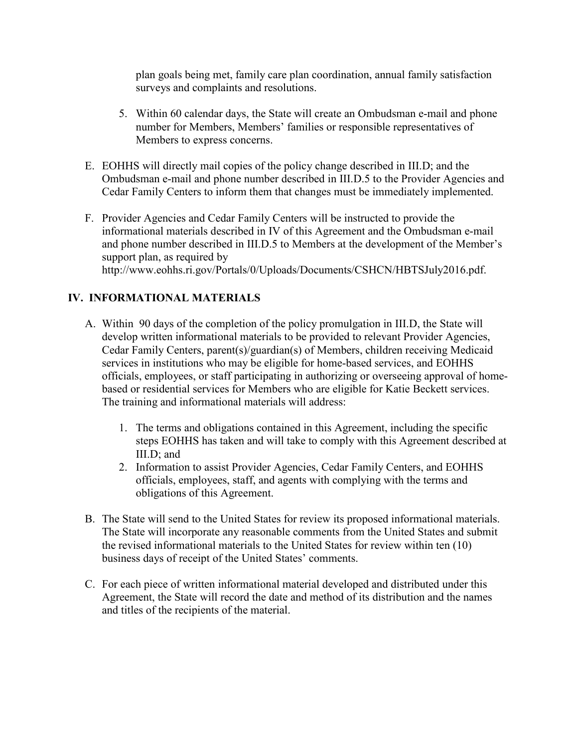plan goals being met, family care plan coordination, annual family satisfaction surveys and complaints and resolutions.

- 5. Within 60 calendar days, the State will create an Ombudsman e-mail and phone number for Members, Members' families or responsible representatives of Members to express concerns.
- E. EOHHS will directly mail copies of the policy change described in III.D; and the Ombudsman e-mail and phone number described in III.D.5 to the Provider Agencies and Cedar Family Centers to inform them that changes must be immediately implemented.
- F. Provider Agencies and Cedar Family Centers will be instructed to provide the informational materials described in IV of this Agreement and the Ombudsman e-mail and phone number described in III.D.5 to Members at the development of the Member's support plan, as required by http://www.eohhs.ri.gov/Portals/0/Uploads/Documents/CSHCN/HBTSJuly2016.pdf.

# **IV. INFORMATIONAL MATERIALS**

- A. Within 90 days of the completion of the policy promulgation in III.D, the State will develop written informational materials to be provided to relevant Provider Agencies, Cedar Family Centers, parent(s)/guardian(s) of Members, children receiving Medicaid services in institutions who may be eligible for home-based services, and EOHHS officials, employees, or staff participating in authorizing or overseeing approval of homebased or residential services for Members who are eligible for Katie Beckett services. The training and informational materials will address:
	- 1. The terms and obligations contained in this Agreement, including the specific steps EOHHS has taken and will take to comply with this Agreement described at III.D; and
	- 2. Information to assist Provider Agencies, Cedar Family Centers, and EOHHS officials, employees, staff, and agents with complying with the terms and obligations of this Agreement.
- B. The State will send to the United States for review its proposed informational materials. The State will incorporate any reasonable comments from the United States and submit the revised informational materials to the United States for review within ten (10) business days of receipt of the United States' comments.
- C. For each piece of written informational material developed and distributed under this Agreement, the State will record the date and method of its distribution and the names and titles of the recipients of the material.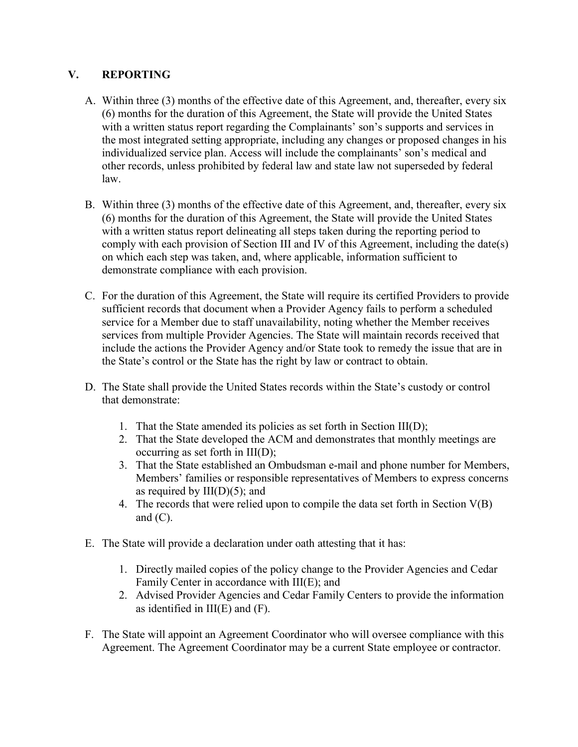## **V. REPORTING**

- A. Within three (3) months of the effective date of this Agreement, and, thereafter, every six (6) months for the duration of this Agreement, the State will provide the United States with a written status report regarding the Complainants' son's supports and services in the most integrated setting appropriate, including any changes or proposed changes in his individualized service plan. Access will include the complainants' son's medical and other records, unless prohibited by federal law and state law not superseded by federal law.
- B. Within three (3) months of the effective date of this Agreement, and, thereafter, every six (6) months for the duration of this Agreement, the State will provide the United States with a written status report delineating all steps taken during the reporting period to comply with each provision of Section III and IV of this Agreement, including the date(s) on which each step was taken, and, where applicable, information sufficient to demonstrate compliance with each provision.
- C. For the duration of this Agreement, the State will require its certified Providers to provide sufficient records that document when a Provider Agency fails to perform a scheduled service for a Member due to staff unavailability, noting whether the Member receives services from multiple Provider Agencies. The State will maintain records received that include the actions the Provider Agency and/or State took to remedy the issue that are in the State's control or the State has the right by law or contract to obtain.
- D. The State shall provide the United States records within the State's custody or control that demonstrate:
	- 1. That the State amended its policies as set forth in Section III(D);
	- 2. That the State developed the ACM and demonstrates that monthly meetings are occurring as set forth in III(D);
	- 3. That the State established an Ombudsman e-mail and phone number for Members, Members' families or responsible representatives of Members to express concerns as required by  $III(D)(5)$ ; and
	- 4. The records that were relied upon to compile the data set forth in Section V(B) and  $(C)$ .
- E. The State will provide a declaration under oath attesting that it has:
	- 1. Directly mailed copies of the policy change to the Provider Agencies and Cedar Family Center in accordance with III(E); and
	- 2. Advised Provider Agencies and Cedar Family Centers to provide the information as identified in III(E) and (F).
- F. The State will appoint an Agreement Coordinator who will oversee compliance with this Agreement. The Agreement Coordinator may be a current State employee or contractor.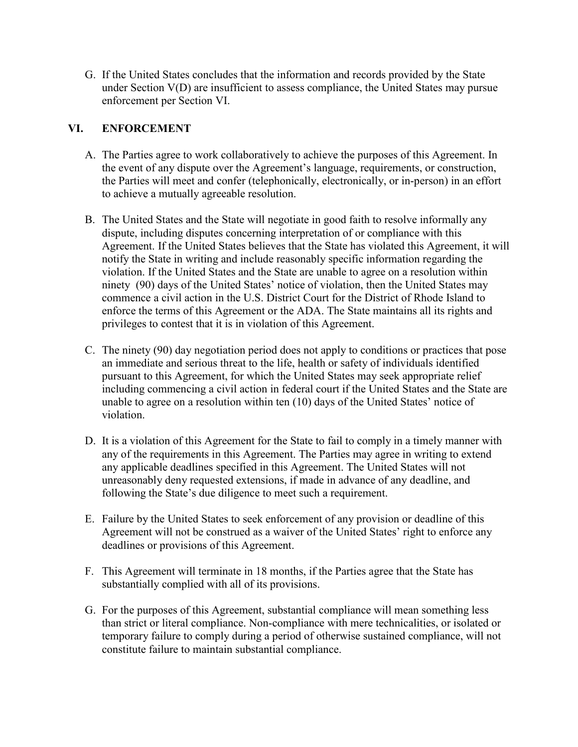G. If the United States concludes that the information and records provided by the State under Section V(D) are insufficient to assess compliance, the United States may pursue enforcement per Section VI.

## **VI. ENFORCEMENT**

- A. The Parties agree to work collaboratively to achieve the purposes of this Agreement. In the event of any dispute over the Agreement's language, requirements, or construction, the Parties will meet and confer (telephonically, electronically, or in-person) in an effort to achieve a mutually agreeable resolution.
- B. The United States and the State will negotiate in good faith to resolve informally any dispute, including disputes concerning interpretation of or compliance with this Agreement. If the United States believes that the State has violated this Agreement, it will notify the State in writing and include reasonably specific information regarding the violation. If the United States and the State are unable to agree on a resolution within ninety (90) days of the United States' notice of violation, then the United States may commence a civil action in the U.S. District Court for the District of Rhode Island to enforce the terms of this Agreement or the ADA. The State maintains all its rights and privileges to contest that it is in violation of this Agreement.
- C. The ninety (90) day negotiation period does not apply to conditions or practices that pose an immediate and serious threat to the life, health or safety of individuals identified pursuant to this Agreement, for which the United States may seek appropriate relief including commencing a civil action in federal court if the United States and the State are unable to agree on a resolution within ten (10) days of the United States' notice of violation.
- D. It is a violation of this Agreement for the State to fail to comply in a timely manner with any of the requirements in this Agreement. The Parties may agree in writing to extend any applicable deadlines specified in this Agreement. The United States will not unreasonably deny requested extensions, if made in advance of any deadline, and following the State's due diligence to meet such a requirement.
- E. Failure by the United States to seek enforcement of any provision or deadline of this Agreement will not be construed as a waiver of the United States' right to enforce any deadlines or provisions of this Agreement.
- F. This Agreement will terminate in 18 months, if the Parties agree that the State has substantially complied with all of its provisions.
- G. For the purposes of this Agreement, substantial compliance will mean something less than strict or literal compliance. Non-compliance with mere technicalities, or isolated or temporary failure to comply during a period of otherwise sustained compliance, will not constitute failure to maintain substantial compliance.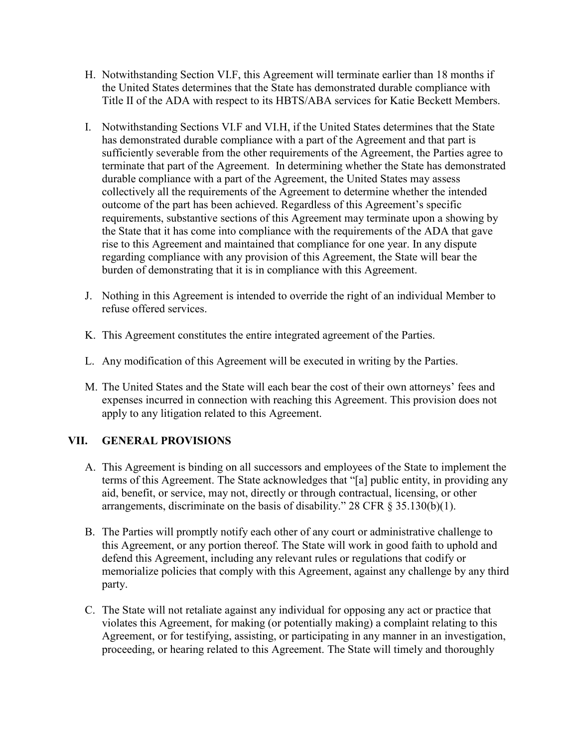- H. Notwithstanding Section VI.F, this Agreement will terminate earlier than 18 months if the United States determines that the State has demonstrated durable compliance with Title II of the ADA with respect to its HBTS/ABA services for Katie Beckett Members.
- I. Notwithstanding Sections VI.F and VI.H, if the United States determines that the State has demonstrated durable compliance with a part of the Agreement and that part is sufficiently severable from the other requirements of the Agreement, the Parties agree to terminate that part of the Agreement. In determining whether the State has demonstrated durable compliance with a part of the Agreement, the United States may assess collectively all the requirements of the Agreement to determine whether the intended outcome of the part has been achieved. Regardless of this Agreement's specific requirements, substantive sections of this Agreement may terminate upon a showing by the State that it has come into compliance with the requirements of the ADA that gave rise to this Agreement and maintained that compliance for one year. In any dispute regarding compliance with any provision of this Agreement, the State will bear the burden of demonstrating that it is in compliance with this Agreement.
- J. Nothing in this Agreement is intended to override the right of an individual Member to refuse offered services.
- K. This Agreement constitutes the entire integrated agreement of the Parties.
- L. Any modification of this Agreement will be executed in writing by the Parties.
- M. The United States and the State will each bear the cost of their own attorneys' fees and expenses incurred in connection with reaching this Agreement. This provision does not apply to any litigation related to this Agreement.

## **VII. GENERAL PROVISIONS**

- A. This Agreement is binding on all successors and employees of the State to implement the terms of this Agreement. The State acknowledges that "[a] public entity, in providing any aid, benefit, or service, may not, directly or through contractual, licensing, or other arrangements, discriminate on the basis of disability." 28 CFR  $\S$  35.130(b)(1).
- B. The Parties will promptly notify each other of any court or administrative challenge to this Agreement, or any portion thereof. The State will work in good faith to uphold and defend this Agreement, including any relevant rules or regulations that codify or memorialize policies that comply with this Agreement, against any challenge by any third party.
- C. The State will not retaliate against any individual for opposing any act or practice that violates this Agreement, for making (or potentially making) a complaint relating to this Agreement, or for testifying, assisting, or participating in any manner in an investigation, proceeding, or hearing related to this Agreement. The State will timely and thoroughly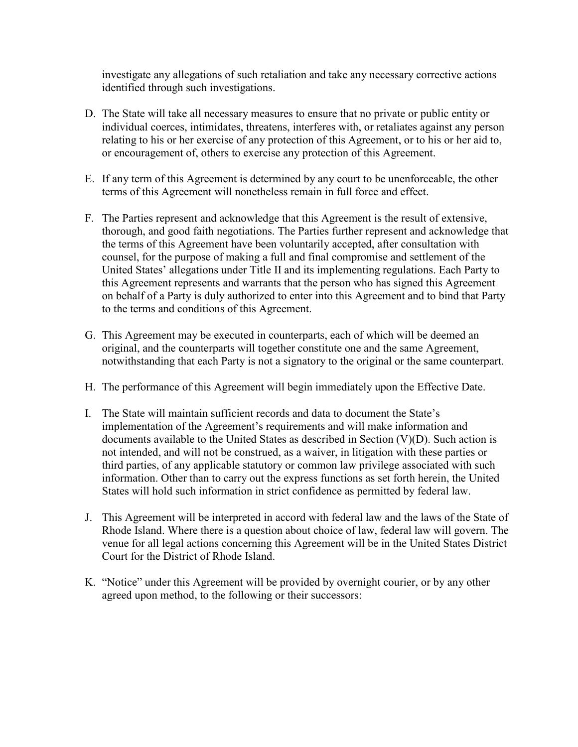investigate any allegations of such retaliation and take any necessary corrective actions identified through such investigations.

- D. The State will take all necessary measures to ensure that no private or public entity or individual coerces, intimidates, threatens, interferes with, or retaliates against any person relating to his or her exercise of any protection of this Agreement, or to his or her aid to, or encouragement of, others to exercise any protection of this Agreement.
- E. If any term of this Agreement is determined by any court to be unenforceable, the other terms of this Agreement will nonetheless remain in full force and effect.
- F. The Parties represent and acknowledge that this Agreement is the result of extensive, thorough, and good faith negotiations. The Parties further represent and acknowledge that the terms of this Agreement have been voluntarily accepted, after consultation with counsel, for the purpose of making a full and final compromise and settlement of the United States' allegations under Title II and its implementing regulations. Each Party to this Agreement represents and warrants that the person who has signed this Agreement on behalf of a Party is duly authorized to enter into this Agreement and to bind that Party to the terms and conditions of this Agreement.
- G. This Agreement may be executed in counterparts, each of which will be deemed an original, and the counterparts will together constitute one and the same Agreement, notwithstanding that each Party is not a signatory to the original or the same counterpart.
- H. The performance of this Agreement will begin immediately upon the Effective Date.
- I. The State will maintain sufficient records and data to document the State's implementation of the Agreement's requirements and will make information and documents available to the United States as described in Section (V)(D). Such action is not intended, and will not be construed, as a waiver, in litigation with these parties or third parties, of any applicable statutory or common law privilege associated with such information. Other than to carry out the express functions as set forth herein, the United States will hold such information in strict confidence as permitted by federal law.
- J. This Agreement will be interpreted in accord with federal law and the laws of the State of Rhode Island. Where there is a question about choice of law, federal law will govern. The venue for all legal actions concerning this Agreement will be in the United States District Court for the District of Rhode Island.
- K. "Notice" under this Agreement will be provided by overnight courier, or by any other agreed upon method, to the following or their successors: